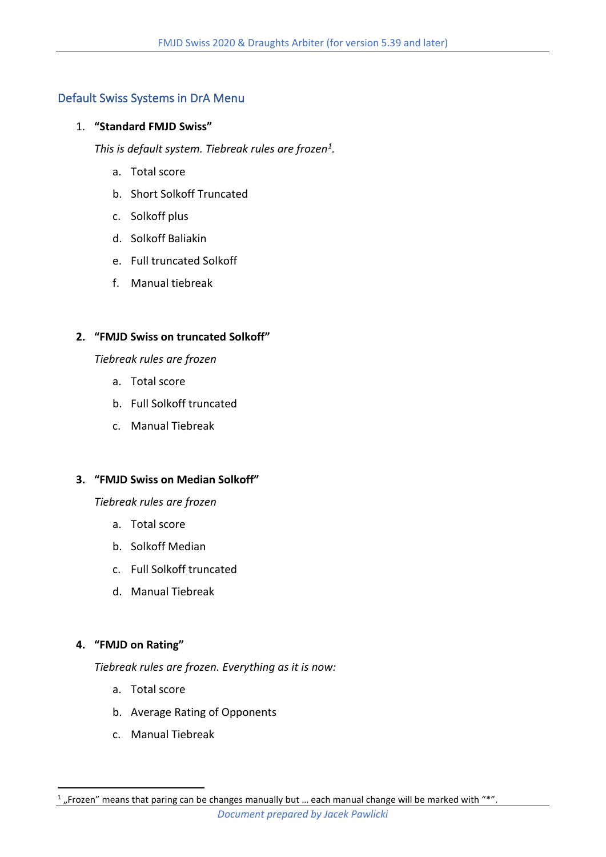# Default Swiss Systems in DrA Menu

# 1. **"Standard FMJD Swiss"**

*This is default system. Tiebreak rules are frozen<sup>1</sup> .*

- a. Total score
- b. Short Solkoff Truncated
- c. Solkoff plus
- d. Solkoff Baliakin
- e. Full truncated Solkoff
- f. Manual tiebreak

# **2. "FMJD Swiss on truncated Solkoff"**

# *Tiebreak rules are frozen*

- a. Total score
- b. Full Solkoff truncated
- c. Manual Tiebreak

# **3. "FMJD Swiss on Median Solkoff"**

# *Tiebreak rules are frozen*

- a. Total score
- b. Solkoff Median
- c. Full Solkoff truncated
- d. Manual Tiebreak

# **4. "FMJD on Rating"**

*Tiebreak rules are frozen. Everything as it is now:*

- a. Total score
- b. Average Rating of Opponents
- c. Manual Tiebreak

 $<sup>1</sup>$  "Frozen" means that paring can be changes manually but ... each manual change will be marked with "\*".</sup>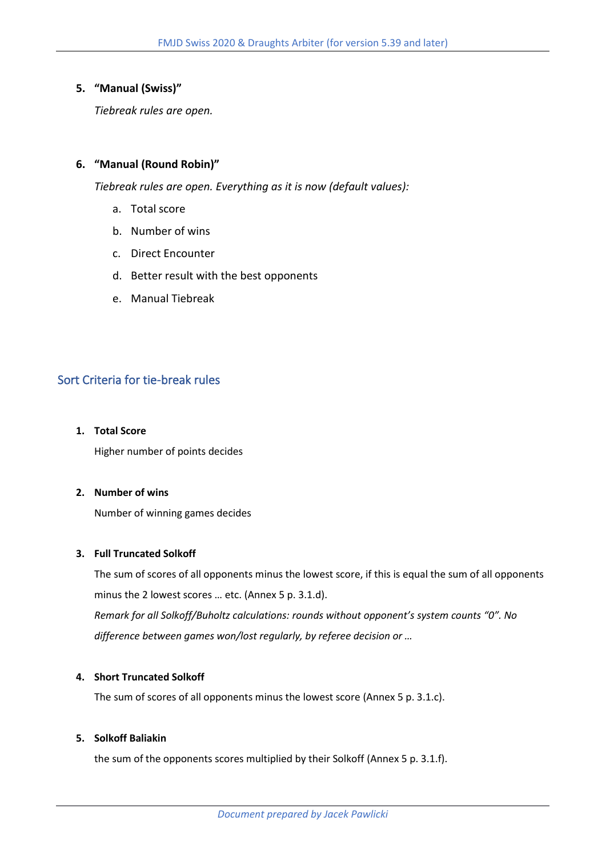## **5. "Manual (Swiss)"**

*Tiebreak rules are open.* 

## **6. "Manual (Round Robin)"**

*Tiebreak rules are open. Everything as it is now (default values):*

- a. Total score
- b. Number of wins
- c. Direct Encounter
- d. Better result with the best opponents
- e. Manual Tiebreak

# Sort Criteria for tie-break rules

**1. Total Score** 

Higher number of points decides

### **2. Number of wins**

Number of winning games decides

## **3. Full Truncated Solkoff**

The sum of scores of all opponents minus the lowest score, if this is equal the sum of all opponents minus the 2 lowest scores … etc. (Annex 5 p. 3.1.d). *Remark for all Solkoff/Buholtz calculations: rounds without opponent's system counts "0". No difference between games won/lost regularly, by referee decision or …* 

#### **4. Short Truncated Solkoff**

The sum of scores of all opponents minus the lowest score (Annex 5 p. 3.1.c).

### **5. Solkoff Baliakin**

the sum of the opponents scores multiplied by their Solkoff (Annex 5 p. 3.1.f).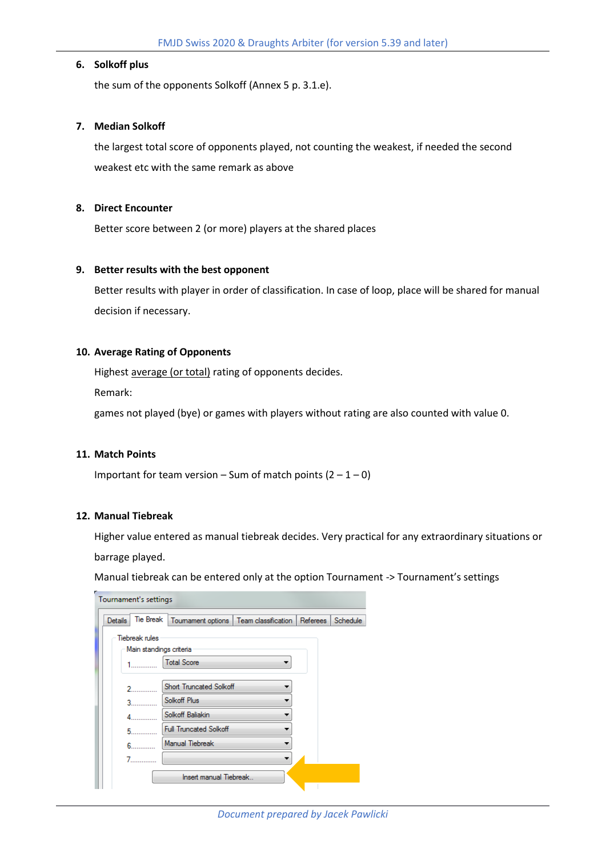### **6. Solkoff plus**

the sum of the opponents Solkoff (Annex 5 p. 3.1.e).

#### **7. Median Solkoff**

the largest total score of opponents played, not counting the weakest, if needed the second weakest etc with the same remark as above

#### **8. Direct Encounter**

Better score between 2 (or more) players at the shared places

#### **9. Better results with the best opponent**

Better results with player in order of classification. In case of loop, place will be shared for manual decision if necessary.

### **10. Average Rating of Opponents**

Highest average (or total) rating of opponents decides.

Remark:

games not played (bye) or games with players without rating are also counted with value 0.

#### **11. Match Points**

Important for team version – Sum of match points  $(2 - 1 - 0)$ 

#### **12. Manual Tiebreak**

Higher value entered as manual tiebreak decides. Very practical for any extraordinary situations or barrage played.

Manual tiebreak can be entered only at the option Tournament -> Tournament's settings

| Tournament's settings   |                                                                                                                                                                                                                                     |                                                    |  |  |          |
|-------------------------|-------------------------------------------------------------------------------------------------------------------------------------------------------------------------------------------------------------------------------------|----------------------------------------------------|--|--|----------|
| <b>Details</b>          | <b>Tie Break</b>                                                                                                                                                                                                                    | Toumament options   Team classification   Referees |  |  | Schedule |
|                         | <b>Tiebreak rules</b>                                                                                                                                                                                                               |                                                    |  |  |          |
| Main standings criteria |                                                                                                                                                                                                                                     |                                                    |  |  |          |
|                         |                                                                                                                                                                                                                                     | <b>Total Score</b>                                 |  |  |          |
|                         |                                                                                                                                                                                                                                     |                                                    |  |  |          |
|                         |                                                                                                                                                                                                                                     | <b>Short Truncated Solkoff</b>                     |  |  |          |
|                         | 3 <sup>2</sup>                                                                                                                                                                                                                      | Solkoff Plus                                       |  |  |          |
|                         |                                                                                                                                                                                                                                     | Solkoff Baliakin                                   |  |  |          |
| к                       |                                                                                                                                                                                                                                     | <b>Full Truncated Solkoff</b>                      |  |  |          |
|                         | <b>G</b> and the state of the state of the state of the state of the state of the state of the state of the state of the state of the state of the state of the state of the state of the state of the state of the state of the st | Manual Tiebreak                                    |  |  |          |
|                         | .                                                                                                                                                                                                                                   |                                                    |  |  |          |
|                         |                                                                                                                                                                                                                                     | Insert manual Tiebreak                             |  |  |          |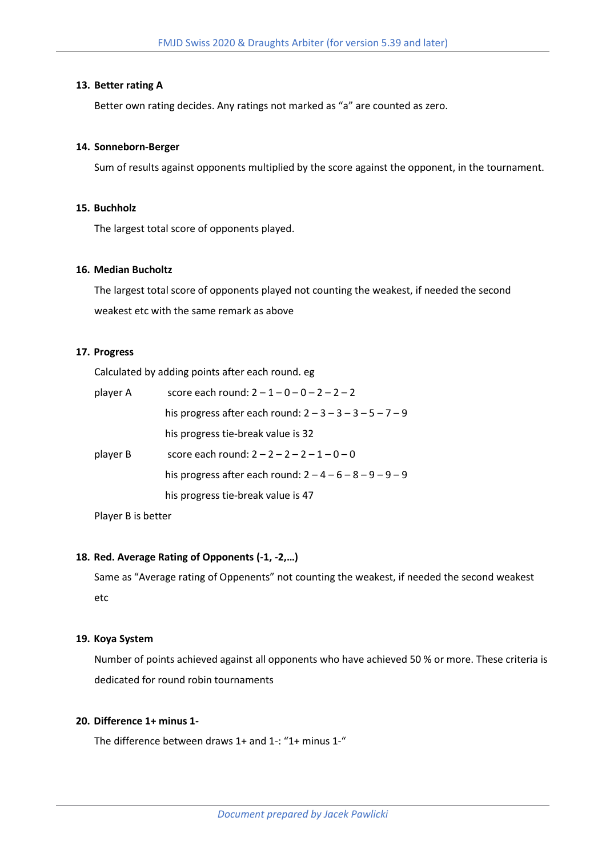#### **13. Better rating A**

Better own rating decides. Any ratings not marked as "a" are counted as zero.

#### **14. Sonneborn-Berger**

Sum of results against opponents multiplied by the score against the opponent, in the tournament.

#### **15. Buchholz**

The largest total score of opponents played.

### **16. Median Bucholtz**

The largest total score of opponents played not counting the weakest, if needed the second weakest etc with the same remark as above

## **17. Progress**

Calculated by adding points after each round. eg

| score each round: $2 - 1 - 0 - 0 - 2 - 2 - 2$  |  |  |  |
|------------------------------------------------|--|--|--|
| his progress after each round: $2-3-3-3-5-7-9$ |  |  |  |
| his progress tie-break value is 32             |  |  |  |
| score each round: $2 - 2 - 2 - 2 - 1 - 0 - 0$  |  |  |  |
| his progress after each round: $2-4-6-8-9-9-9$ |  |  |  |
| his progress tie-break value is 47             |  |  |  |
|                                                |  |  |  |

Player B is better

#### **18. Red. Average Rating of Opponents (-1, -2,…)**

Same as "Average rating of Oppenents" not counting the weakest, if needed the second weakest etc

#### **19. Koya System**

Number of points achieved against all opponents who have achieved 50 % or more. These criteria is dedicated for round robin tournaments

### **20. Difference 1+ minus 1-**

The difference between draws 1+ and 1-: "1+ minus 1-"